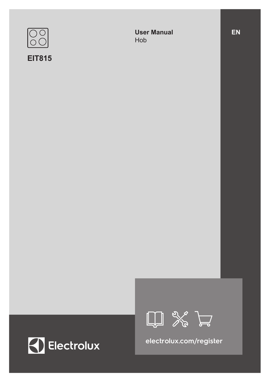

## **EIT815**

**User Manual** Hob







**electrolux.com/register**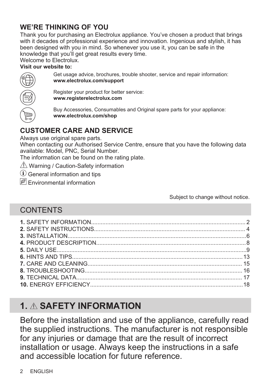# **WE'RE THINKING OF YOU**

Thank you for purchasing an Electrolux appliance. You've chosen a product that brings with it decades of professional experience and innovation. Ingenious and stylish, it has been designed with you in mind. So whenever you use it, you can be safe in the knowledge that you'll get great results every time.

Welcome to Electrolux.

#### **Visit our website to:**



Get usage advice, brochures, trouble shooter, service and repair information: **www.electrolux.com/support**

Register your product for better service: **www.registerelectrolux.com**

Buy Accessories, Consumables and Original spare parts for your appliance: **www.electrolux.com/shop**

# **CUSTOMER CARE AND SERVICE**

Always use original spare parts.

When contacting our Authorised Service Centre, ensure that you have the following data available: Model, PNC, Serial Number.

The information can be found on the rating plate.

 $\Lambda$  Warning / Caution-Safety information

 $(i)$  General information and tips

 $\mathscr{F}$  Fnvironmental information

Subject to change without notice.

# **CONTENTS**

# **1. SAFETY INFORMATION**

Before the installation and use of the appliance, carefully read the supplied instructions. The manufacturer is not responsible for any injuries or damage that are the result of incorrect installation or usage. Always keep the instructions in a safe and accessible location for future reference.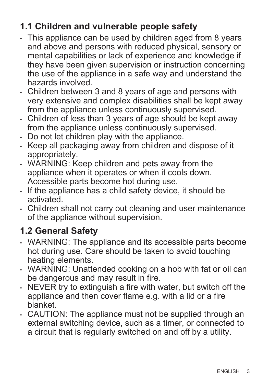# **1.1 Children and vulnerable people safety**

- This appliance can be used by children aged from 8 years and above and persons with reduced physical, sensory or mental capabilities or lack of experience and knowledge if they have been given supervision or instruction concerning the use of the appliance in a safe way and understand the hazards involved.
- Children between 3 and 8 years of age and persons with very extensive and complex disabilities shall be kept away from the appliance unless continuously supervised.
- Children of less than 3 years of age should be kept away from the appliance unless continuously supervised.
- Do not let children play with the appliance.
- Keep all packaging away from children and dispose of it appropriately.
- WARNING: Keep children and pets away from the appliance when it operates or when it cools down. Accessible parts become hot during use.
- If the appliance has a child safety device, it should be activated.
- Children shall not carry out cleaning and user maintenance of the appliance without supervision.

# **1.2 General Safety**

- WARNING: The appliance and its accessible parts become hot during use. Care should be taken to avoid touching heating elements.
- WARNING: Unattended cooking on a hob with fat or oil can be dangerous and may result in fire.
- NEVER try to extinguish a fire with water, but switch off the appliance and then cover flame e.g. with a lid or a fire blanket.
- CAUTION: The appliance must not be supplied through an external switching device, such as a timer, or connected to a circuit that is regularly switched on and off by a utility.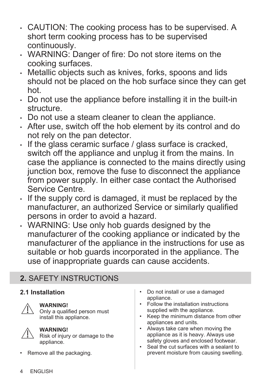- <span id="page-3-0"></span>• CAUTION: The cooking process has to be supervised. A short term cooking process has to be supervised continuously.
- WARNING: Danger of fire: Do not store items on the cooking surfaces.
- Metallic objects such as knives, forks, spoons and lids should not be placed on the hob surface since they can get hot.
- Do not use the appliance before installing it in the built-in structure.
- Do not use a steam cleaner to clean the appliance.
- After use, switch off the hob element by its control and do not rely on the pan detector.
- If the glass ceramic surface / glass surface is cracked, switch off the appliance and unplug it from the mains. In case the appliance is connected to the mains directly using junction box, remove the fuse to disconnect the appliance from power supply. In either case contact the Authorised Service Centre.
- If the supply cord is damaged, it must be replaced by the manufacturer, an authorized Service or similarly qualified persons in order to avoid a hazard.
- WARNING: Use only hob guards designed by the manufacturer of the cooking appliance or indicated by the manufacturer of the appliance in the instructions for use as suitable or hob guards incorporated in the appliance. The use of inappropriate guards can cause accidents.

# **2.** SAFETY INSTRUCTIONS

### **2.1 Installation**



#### **WARNING!**

Only a qualified person must install this appliance.



#### **WARNING!**

Risk of injury or damage to the appliance.

Remove all the packaging.

- Do not install or use a damaged appliance.
- Follow the installation instructions supplied with the appliance.
- Keep the minimum distance from other appliances and units.
- Always take care when moving the appliance as it is heavy. Always use safety gloves and enclosed footwear.
- Seal the cut surfaces with a sealant to prevent moisture from causing swelling.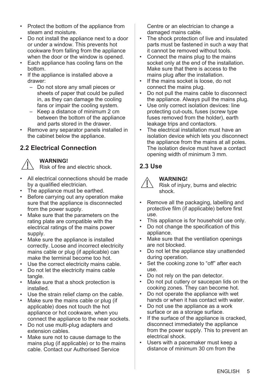- Protect the bottom of the appliance from steam and moisture.
- Do not install the appliance next to a door or under a window. This prevents hot cookware from falling from the appliance when the door or the window is opened.
- Each appliance has cooling fans on the bottom.
- If the appliance is installed above a drawer:
	- Do not store any small pieces or sheets of paper that could be pulled in, as they can damage the cooling fans or impair the cooling system.
	- Keep a distance of minimum 2 cm between the bottom of the appliance and parts stored in the drawer.
- Remove any separator panels installed in the cabinet below the appliance.

### **2.2 Electrical Connection**

#### **WARNING!**

Risk of fire and electric shock.

- All electrical connections should be made by a qualified electrician.
- The appliance must be earthed.
- Before carrying out any operation make sure that the appliance is disconnected from the power supply.
- Make sure that the parameters on the rating plate are compatible with the electrical ratings of the mains power supply.
- Make sure the appliance is installed correctly. Loose and incorrect electricity mains cable or plug (if applicable) can make the terminal become too hot.
- Use the correct electricity mains cable.
- Do not let the electricity mains cable tangle.
- Make sure that a shock protection is installed.
- Use the strain relief clamp on the cable.
- Make sure the mains cable or plug (if applicable) does not touch the hot appliance or hot cookware, when you connect the appliance to the near sockets.
- Do not use multi-plug adapters and extension cables.
- Make sure not to cause damage to the mains plug (if applicable) or to the mains cable. Contact our Authorised Service

Centre or an electrician to change a damaged mains cable.

- The shock protection of live and insulated parts must be fastened in such a way that it cannot be removed without tools.
- Connect the mains plug to the mains socket only at the end of the installation. Make sure that there is access to the mains plug after the installation.
- If the mains socket is loose, do not connect the mains plug.
- Do not pull the mains cable to disconnect the appliance. Always pull the mains plug.
- Use only correct isolation devices: line protecting cut-outs, fuses (screw type fuses removed from the holder), earth leakage trips and contactors.
- The electrical installation must have an isolation device which lets you disconnect the appliance from the mains at all poles. The isolation device must have a contact opening width of minimum 3 mm.

### **2.3 Use**



#### **WARNING!**

Risk of injury, burns and electric shock.

- Remove all the packaging, labelling and protective film (if applicable) before first use.
- This appliance is for household use only.
- Do not change the specification of this appliance.
- Make sure that the ventilation openings are not blocked.
- Do not let the appliance stay unattended during operation.
- Set the cooking zone to "off" after each use.
- Do not rely on the pan detector.
- Do not put cutlery or saucepan lids on the cooking zones. They can become hot.
- Do not operate the appliance with wet hands or when it has contact with water.
- Do not use the appliance as a work surface or as a storage surface.
- If the surface of the appliance is cracked, disconnect immediately the appliance from the power supply. This to prevent an electrical shock.
- Users with a pacemaker must keep a distance of minimum 30 cm from the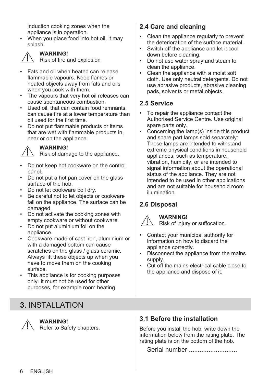<span id="page-5-0"></span>induction cooking zones when the appliance is in operation.

• When you place food into hot oil, it may splash.



#### **WARNING!**

Risk of fire and explosion

- Fats and oil when heated can release flammable vapours. Keep flames or heated objects away from fats and oils when you cook with them.
- The vapours that very hot oil releases can cause spontaneous combustion.
- Used oil, that can contain food remnants. can cause fire at a lower temperature than oil used for the first time.
- Do not put flammable products or items that are wet with flammable products in, near or on the appliance.



#### **WARNING!**

Risk of damage to the appliance.

- Do not keep hot cookware on the control panel.
- Do not put a hot pan cover on the glass surface of the hob.
- Do not let cookware boil dry.
- Be careful not to let objects or cookware fall on the appliance. The surface can be damaged.
- Do not activate the cooking zones with empty cookware or without cookware.
- Do not put aluminium foil on the appliance.
- Cookware made of cast iron, aluminium or with a damaged bottom can cause scratches on the glass / glass ceramic. Always lift these objects up when you have to move them on the cooking surface.
- This appliance is for cooking purposes only. It must not be used for other purposes, for example room heating.

# **3.** INSTALLATION

**WARNING!**

Refer to Safety chapters.

### **2.4 Care and cleaning**

- Clean the appliance regularly to prevent the deterioration of the surface material.
- Switch off the appliance and let it cool down before cleaning.
- Do not use water spray and steam to clean the appliance.
- Clean the appliance with a moist soft cloth. Use only neutral detergents. Do not use abrasive products, abrasive cleaning pads, solvents or metal objects.

### **2.5 Service**

- To repair the appliance contact the Authorised Service Centre. Use original spare parts only.
- Concerning the lamp(s) inside this product and spare part lamps sold separately: These lamps are intended to withstand extreme physical conditions in household appliances, such as temperature, vibration, humidity, or are intended to signal information about the operational status of the appliance. They are not intended to be used in other applications and are not suitable for household room illumination.

### **2.6 Disposal**



#### **WARNING!**

Risk of injury or suffocation.

- Contact your municipal authority for information on how to discard the appliance correctly.
- Disconnect the appliance from the mains supply.
- Cut off the mains electrical cable close to the appliance and dispose of it.

### **3.1 Before the installation**

Before you install the hob, write down the information below from the rating plate. The rating plate is on the bottom of the hob.

Serial number ...........................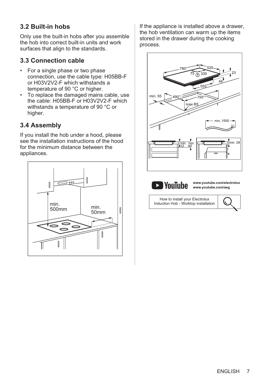### **3.2 Built-in hobs**

Only use the built-in hobs after you assemble the hob into correct built-in units and work surfaces that align to the standards.

### **3.3 Connection cable**

- For a single phase or two phase connection, use the cable type: H05BB-F or H03V2V2-F which withstands a temperature of 90 °C or higher.
- To replace the damaged mains cable, use the cable: H05BB-F or H03V2V2-F which withstands a temperature of 90 °C or higher.

### **3.4 Assembly**

If you install the hob under a hood, please see the installation instructions of the hood for the minimum distance between the appliances.



If the appliance is installed above a drawer, the hob ventilation can warm up the items stored in the drawer during the cooking process.



**D** YouTube

**www.youtube.com/electrolux www.youtube.com/aeg**

How to install your Electrolux Induction Hob - Worktop installation

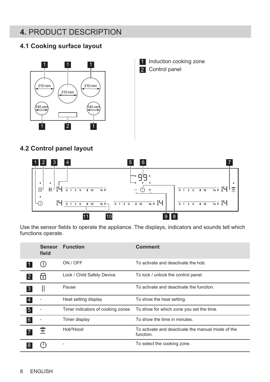# <span id="page-7-0"></span>**4.** PRODUCT DESCRIPTION

### **4.1 Cooking surface layout**



### **4.2 Control panel layout**



Use the sensor fields to operate the appliance. The displays, indicators and sounds tell which functions operate.

|                 | Sensor<br>field | <b>Function</b>                   | <b>Comment</b>                                                 |
|-----------------|-----------------|-----------------------------------|----------------------------------------------------------------|
|                 | ( l )           | ON / OFF                          | To activate and deactivate the hob.                            |
|                 | দা              | Lock / Child Safety Device        | To lock / unlock the control panel.                            |
| 3               |                 | Pause                             | To activate and deactivate the function.                       |
| $\vert 4 \vert$ | ٠               | Heat setting display              | To show the heat setting.                                      |
| $\overline{5}$  | ٠               | Timer indicators of cooking zones | To show for which zone you set the time.                       |
| 6               |                 | Timer display                     | To show the time in minutes.                                   |
|                 | ଛ               | Hob <sup>2</sup> Hood             | To activate and deactivate the manual mode of the<br>function. |
|                 |                 |                                   | To select the cooking zone.                                    |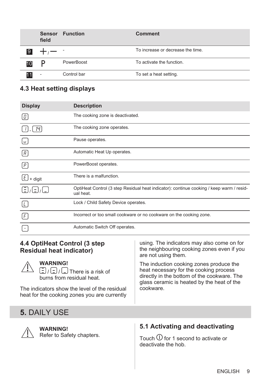<span id="page-8-0"></span>

|                | <b>Sensor</b><br>field | <b>Function</b> | <b>Comment</b>                    |
|----------------|------------------------|-----------------|-----------------------------------|
| $\overline{9}$ |                        |                 | To increase or decrease the time. |
| 10             | υ                      | PowerBoost      | To activate the function.         |
|                | ۰                      | Control bar     | To set a heat setting.            |

### **4.3 Heat setting displays**

| <b>Display</b>           | <b>Description</b>                                                                                    |
|--------------------------|-------------------------------------------------------------------------------------------------------|
| O                        | The cooking zone is deactivated.                                                                      |
|                          | The cooking zone operates.                                                                            |
| U                        | Pause operates.                                                                                       |
| [B]                      | Automatic Heat Up operates.                                                                           |
| $\lceil P \rceil$        | PowerBoost operates.                                                                                  |
| [E]<br>+ digit           | There is a malfunction.                                                                               |
|                          | OptiHeat Control (3 step Residual heat indicator): continue cooking / keep warm / resid-<br>ual heat. |
|                          | Lock / Child Safety Device operates.                                                                  |
| $\lceil \digamma \rceil$ | Incorrect or too small cookware or no cookware on the cooking zone.                                   |
|                          | Automatic Switch Off operates.                                                                        |

#### **4.4 OptiHeat Control (3 step Residual heat indicator) WARNING!**  $\boxed{\Xi}/\boxed{\Xi}$  /  $\boxed{\Box}$  There is a risk of burns from residual heat. The indicators show the level of the residual heat for the cooking zones you are currently using. The indicators may also come on for the neighbouring cooking zones even if you are not using them. The induction cooking zones produce the heat necessary for the cooking process directly in the bottom of the cookware. The glass ceramic is heated by the heat of the cookware.

### **5.** DAILY USE



**WARNING!** Refer to Safety chapters.

### **5.1 Activating and deactivating**

Touch  $\overline{0}$  for 1 second to activate or deactivate the hob.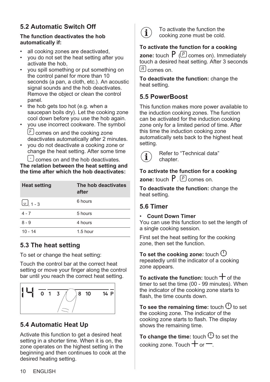### **5.2 Automatic Switch Off**

#### **The function deactivates the hob automatically if:**

- all cooking zones are deactivated,
- you do not set the heat setting after you activate the hob,
- you spill something or put something on the control panel for more than 10 seconds (a pan, a cloth, etc.). An acoustic signal sounds and the hob deactivates. Remove the object or clean the control panel.
- the hob gets too hot (e.g. when a saucepan boils dry). Let the cooking zone cool down before you use the hob again.
- you use incorrect cookware. The symbol  $E$  comes on and the cooking zone deactivates automatically after 2 minutes.
- you do not deactivate a cooking zone or change the heat setting. After some time

 comes on and the hob deactivates. **The relation between the heat setting and the time after which the hob deactivates:**

| <b>Heat setting</b> | The hob deactivates<br>after |
|---------------------|------------------------------|
| $\omega$ , 1 - 3    | 6 hours                      |
| $4 - 7$             | 5 hours                      |
| $8 - 9$             | 4 hours                      |
| $10 - 14$           | $1.5$ hour                   |

## **5.3 The heat setting**

To set or change the heat setting:

Touch the control bar at the correct heat setting or move your finger along the control bar until you reach the correct heat setting.



# **5.4 Automatic Heat Up**

Activate this function to get a desired heat setting in a shorter time. When it is on, the zone operates on the highest setting in the beginning and then continues to cook at the desired heating setting.



To activate the function the cooking zone must be cold.

### **To activate the function for a cooking**

**zone:** touch  $P$  ( $P$  comes on). Immediately touch a desired heat setting. After 3 seconds  $\lceil A \rceil$  comes on.

**To deactivate the function:** change the heat setting.

### **5.5 PowerBoost**

This function makes more power available to the induction cooking zones. The function can be activated for the induction cooking zone only for a limited period of time. After this time the induction cooking zone automatically sets back to the highest heat setting.



Refer to "Technical data" chapter.

**To activate the function for a cooking zone:** touch  $P \nvert P$  comes on.

**To deactivate the function:** change the heat setting.

### **5.6 Timer**

#### • **Count Down Timer**

You can use this function to set the length of a single cooking session.

First set the heat setting for the cooking zone, then set the function.

**To set the cooking zone:** touch repeatedly until the indicator of a cooking zone appears.

**To activate the function:** touch  $\pm$  of the timer to set the time (00 - 99 minutes). When the indicator of the cooking zone starts to flash, the time counts down.

To see the remaining time: touch  $\mathbb O$  to set the cooking zone. The indicator of the cooking zone starts to flash. The display shows the remaining time.

To change the time: touch  $\bigcirc$  to set the cooking zone. Touch  $+$  or  $-$ .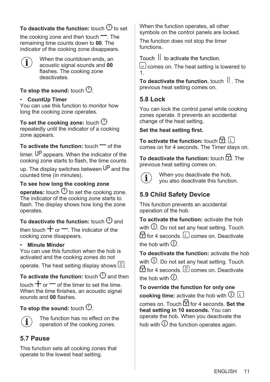### **To deactivate the function:** touch  $\bigoplus$  to set

the cooking zone and then touch  $\equiv$ . The remaining time counts down to **00**. The indicator of the cooking zone disappears.



When the countdown ends, an acoustic signal sounds and **00** flashes. The cooking zone deactivates.

### **To stop the sound:** touch  $\mathbb{O}$ .

#### • **CountUp Timer**

You can use this function to monitor how long the cooking zone operates.

**To set the cooking zone:** touch repeatedly until the indicator of a cooking zone appears.

**To activate the function:** touch  $\equiv$  of the

timer.  $U^{\text{p}}$  appears. When the indicator of the cooking zone starts to flash, the time counts

up. The display switches between  $\mathsf{U}^{\mathsf{P}}$  and the counted time (in minutes).

#### **To see how long the cooking zone**

**operates:** touch  $\bigcirc$  to set the cooking zone. The indicator of the cooking zone starts to flash. The display shows how long the zone operates.

**To deactivate the function:** touch  $\bigcirc$  and

then touch  $+$  or  $-$ . The indicator of the cooking zone disappears.

#### • **Minute Minder**

You can use this function when the hob is activated and the cooking zones do not

operate. The heat setting display shows  $[0]$ .

### **To activate the function:** touch  $\mathbb O$  and then

touch  $+$  or  $-$  of the timer to set the time. When the time finishes, an acoustic signal sounds and **00** flashes.

To stop the sound: touch  $\mathbb{O}$ .



The function has no effect on the operation of the cooking zones.

### **5.7 Pause**

This function sets all cooking zones that operate to the lowest heat setting.

When the function operates, all other symbols on the control panels are locked.

The function does not stop the timer functions.

Touch  $\|\cdot\|$  to activate the function.

 comes on. The heat setting is lowered to 1.

**To deactivate the function**, touch  $\parallel$  . The previous heat setting comes on.

### **5.8 Lock**

You can lock the control panel while cooking zones operate. It prevents an accidental change of the heat setting.

#### **Set the heat setting first.**

**To activate the function:** touch **句**. [1] comes on for 4 seconds. The Timer stays on.

**To deactivate the function: touch <b>F** The previous heat setting comes on.



When you deactivate the hob, you also deactivate this function.

### **5.9 Child Safety Device**

This function prevents an accidental operation of the hob.

**To activate the function:** activate the hob with  $\mathbb O$ . Do not set any heat setting. Touch  $\overline{f}$  for 4 seconds.  $\overline{f}$  comes on. Deactivate the hob with  $\mathcal D$ 

**To deactivate the function:** activate the hob with  $\mathbb O$ . Do not set any heat setting. Touch  $\overline{1}$  for 4 seconds.  $\boxed{0}$  comes on. Deactivate the hob with  $\mathbb O$ 

**To override the function for only one cooking time:** activate the hob with  $\mathbb{O}$ .  $\Box$ comes on. Touch for 4 seconds. **Set the heat setting in 10 seconds.** You can operate the hob. When you deactivate the hob with  $\mathbb O$  the function operates again.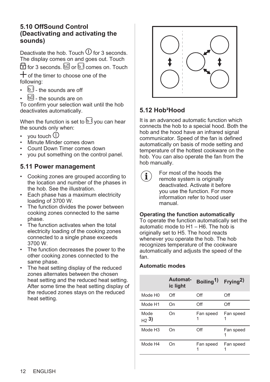#### **5.10 OffSound Control (Deactivating and activating the sounds)**

Deactivate the hob. Touch  $\overline{0}$  for 3 seconds. The display comes on and goes out. Touch  $\overline{F}$  for 3 seconds.  $\overline{60}$  or  $\overline{F}$  comes on. Touch

 $+$  of the timer to choose one of the following:

- $\overline{b}$  the sounds are off
- **60** the sounds are on

To confirm your selection wait until the hob deactivates automatically.

When the function is set to  $\mathbb{U}$  you can hear the sounds only when:

- vou touch  $\mathbb O$
- Minute Minder comes down
- Count Down Timer comes down
- you put something on the control panel.

#### **5.11 Power management**

- Cooking zones are grouped according to the location and number of the phases in the hob. See the illustration.
- Each phase has a maximum electricity loading of 3700 W.
- The function divides the power between cooking zones connected to the same phase.
- The function activates when the total electricity loading of the cooking zones connected to a single phase exceeds 3700 W.
- The function decreases the power to the other cooking zones connected to the same phase.
- The heat setting display of the reduced zones alternates between the chosen heat setting and the reduced heat setting. After some time the heat setting display of the reduced zones stays on the reduced heat setting.



### **5.12 Hob²Hood**

It is an advanced automatic function which connects the hob to a special hood. Both the hob and the hood have an infrared signal communicator. Speed of the fan is defined automatically on basis of mode setting and temperature of the hottest cookware on the hob. You can also operate the fan from the hob manually.

For most of the hoods the remote system is originally deactivated. Activate it before you use the function. For more information refer to hood user manual.

#### **Operating the function automatically**

To operate the function automatically set the automatic mode to H1 – H6. The hob is originally set to H5. The hood reacts whenever you operate the hob. The hob recognizes temperature of the cookware automatically and adjusts the speed of the fan.

#### **Automatic modes**

|                     | Automat-<br>ic light | Boiling <sup>1</sup> ) | Frying <sup>2)</sup> |
|---------------------|----------------------|------------------------|----------------------|
| Mode H <sub>0</sub> | Off                  | Off                    | Off                  |
| Mode H1             | On                   | Off                    | Off                  |
| Mode<br>$_{H2}$ 3)  | Ωn                   | Fan speed              | Fan speed            |
| Mode H <sub>3</sub> | On                   | Off                    | Fan speed            |
| Mode H4             | Ωn                   | Fan speed              | Fan speed            |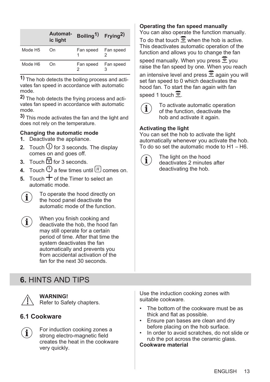<span id="page-12-0"></span>

|                     | Automat-<br>ic light | Boiling <sup>1</sup> ) Frying <sup>2</sup> ) |           |
|---------------------|----------------------|----------------------------------------------|-----------|
| Mode H <sub>5</sub> | On                   | Fan speed Fan speed                          |           |
| Mode H <sub>6</sub> | On                   | Fan speed                                    | Fan speed |

**1)** The hob detects the boiling process and acti‐ vates fan speed in accordance with automatic mode.

**2)** The hob detects the frying process and acti‐ vates fan speed in accordance with automatic mode.

**3)** This mode activates the fan and the light and does not rely on the temperature.

#### **Changing the automatic mode**

- **1.** Deactivate the appliance.
- **2.** Touch  $\bigcup$  for 3 seconds. The display comes on and goes off.
- **3.** Touch **h** for 3 seconds.
- **4.** Touch  $\Theta$  a few times until  $\left[\begin{matrix}H\end{matrix}\right]$  comes on.
- $\overline{5}$  Touch  $\overline{+}$  of the Timer to select an automatic mode.

To operate the hood directly on the hood panel deactivate the automatic mode of the function.

When you finish cooking and deactivate the hob, the hood fan may still operate for a certain period of time. After that time the system deactivates the fan automatically and prevents you from accidental activation of the fan for the next 30 seconds.

# **6.** HINTS AND TIPS



**WARNING!** Refer to Safety chapters.

### **6.1 Cookware**



For induction cooking zones a strong electro-magnetic field creates the heat in the cookware very quickly.

#### **Operating the fan speed manually**

You can also operate the function manually.

To do that touch  $\overline{\hat{\Sigma}}$  when the hob is active. This deactivates automatic operation of the function and allows you to change the fan

speed manually. When you press  $\overline{\mathcal{F}}$  you raise the fan speed by one. When you reach an intensive level and press  $\overline{\hat{\Xi}}$  again you will set fan speed to 0 which deactivates the hood fan. To start the fan again with fan speed 1 touch  $\overline{\hat{z}}$ 



To activate automatic operation of the function, deactivate the hob and activate it again.

#### **Activating the light**

You can set the hob to activate the light automatically whenever you activate the hob. To do so set the automatic mode to H1 – H6.



The light on the hood deactivates 2 minutes after deactivating the hob.

Use the induction cooking zones with suitable cookware.

- The bottom of the cookware must be as thick and flat as possible.
- Ensure pan bases are clean and dry before placing on the hob surface.
- In order to avoid scratches, do not slide or rub the pot across the ceramic glass.

**Cookware material**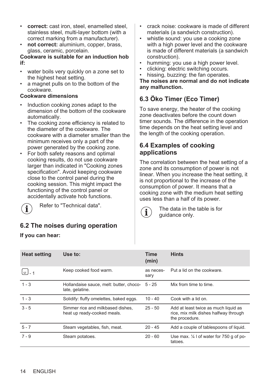- **correct:** cast iron, steel, enamelled steel, stainless steel, multi-layer bottom (with a correct marking from a manufacturer).
- not correct: aluminium, copper, brass, glass, ceramic, porcelain.

**Cookware is suitable for an induction hob if:**

- water boils very quickly on a zone set to the highest heat setting.
- a magnet pulls on to the bottom of the cookware.

#### **Cookware dimensions**

- Induction cooking zones adapt to the dimension of the bottom of the cookware automatically.
- The cooking zone efficiency is related to the diameter of the cookware. The cookware with a diameter smaller than the minimum receives only a part of the power generated by the cooking zone.
- For both safety reasons and optimal cooking results, do not use cookware larger than indicated in "Cooking zones specification". Avoid keeping cookware close to the control panel during the cooking session. This might impact the functioning of the control panel or accidentally activate hob functions.



Refer to "Technical data".

### **6.2 The noises during operation**

**If you can hear:**

- crack noise: cookware is made of different materials (a sandwich construction).
- whistle sound: you use a cooking zone with a high power level and the cookware is made of different materials (a sandwich construction).
- humming: you use a high power level.
- clicking: electric switching occurs.
- hissing, buzzing: the fan operates.

**The noises are normal and do not indicate any malfunction.**

### **6.3 Öko Timer (Eco Timer)**

To save energy, the heater of the cooking zone deactivates before the count down timer sounds. The difference in the operation time depends on the heat setting level and the length of the cooking operation.

#### **6.4 Examples of cooking applications**

The correlation between the heat setting of a zone and its consumption of power is not linear. When you increase the heat setting, it is not proportional to the increase of the consumption of power. It means that a cooking zone with the medium heat setting uses less than a half of its power.



The data in the table is for quidance only.

| <b>Heat setting</b>          | Use to:                                                          | <b>Time</b><br>(min) | <b>Hints</b>                                                                                    |
|------------------------------|------------------------------------------------------------------|----------------------|-------------------------------------------------------------------------------------------------|
| $\lfloor \omega \rfloor$ - 1 | Keep cooked food warm.                                           | as neces-<br>sary    | Put a lid on the cookware.                                                                      |
| $1 - 3$                      | Hollandaise sauce, melt: butter, choco-<br>late, gelatine.       | $5 - 25$             | Mix from time to time.                                                                          |
| $1 - 3$                      | Solidify: fluffy omelettes, baked eggs.                          | $10 - 40$            | Cook with a lid on.                                                                             |
| $3 - 5$                      | Simmer rice and milkbased dishes.<br>heat up ready-cooked meals. | $25 - 50$            | Add at least twice as much liquid as<br>rice, mix milk dishes halfway through<br>the procedure. |
| $5 - 7$                      | Steam vegetables, fish, meat.                                    | $20 - 45$            | Add a couple of tablespoons of liquid.                                                          |
| $7 - 9$                      | Steam potatoes.                                                  | $20 - 60$            | Use max. $\frac{1}{4}$ I of water for 750 g of po-<br>tatoes.                                   |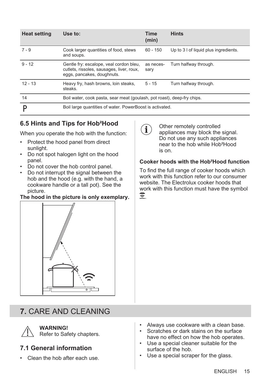<span id="page-14-0"></span>

| <b>Heat setting</b> | Use to:                                                                                                            | Time<br>(min)     | <b>Hints</b>                          |
|---------------------|--------------------------------------------------------------------------------------------------------------------|-------------------|---------------------------------------|
| $7 - 9$             | Cook larger quantities of food, stews<br>and soups.                                                                | $60 - 150$        | Up to 3 I of liquid plus ingredients. |
| $9 - 12$            | Gentle fry: escalope, veal cordon bleu,<br>cutlets, rissoles, sausages, liver, roux,<br>eggs, pancakes, doughnuts. | as neces-<br>sary | Turn halfway through.                 |
| $12 - 13$           | Heavy fry, hash browns, loin steaks,<br>steaks.                                                                    | $5 - 15$          | Turn halfway through.                 |
| 14                  | Boil water, cook pasta, sear meat (goulash, pot roast), deep-fry chips.                                            |                   |                                       |
|                     | Boil large quantities of water. PowerBoost is activated.                                                           |                   |                                       |

### **6.5 Hints and Tips for Hob²Hood**

When you operate the hob with the function:

- Protect the hood panel from direct sunlight.
- Do not spot halogen light on the hood panel.
- Do not cover the hob control panel.<br>• Do not interrupt the signal between
- Do not interrupt the signal between the hob and the hood (e.g. with the hand, a cookware handle or a tall pot). See the picture.

#### **The hood in the picture is only exemplary.**



# **7.** CARE AND CLEANING



### **WARNING!**

Refer to Safety chapters.

### **7.1 General information**

Clean the hob after each use.

- Always use cookware with a clean base.
- Scratches or dark stains on the surface have no effect on how the hob operates.
- Use a special cleaner suitable for the surface of the hob.
- Use a special scraper for the glass.



Other remotely controlled appliances may block the signal. Do not use any such appliances near to the hob while Hob²Hood is on.

#### **Cooker hoods with the Hob²Hood function**

To find the full range of cooker hoods which work with this function refer to our consumer website. The Electrolux cooker hoods that work with this function must have the symbol . G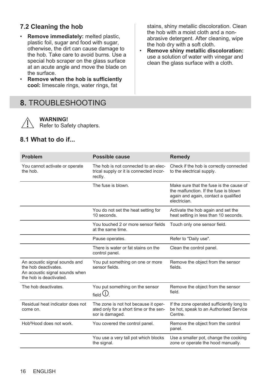### <span id="page-15-0"></span>**7.2 Cleaning the hob**

- **Remove immediately:** melted plastic, plastic foil, sugar and food with sugar. otherwise, the dirt can cause damage to the hob. Take care to avoid burns. Use a special hob scraper on the glass surface at an acute angle and move the blade on the surface.
- **Remove when the hob is sufficiently cool:** limescale rings, water rings, fat

# **8.** TROUBLESHOOTING

stains, shiny metallic discoloration. Clean the hob with a moist cloth and a nonabrasive detergent. After cleaning, wipe the hob dry with a soft cloth.

• **Remove shiny metallic discoloration:** use a solution of water with vinegar and clean the glass surface with a cloth.

|             | WARN    |
|-------------|---------|
| $\triangle$ | Refer t |

**ING!** 

to Safety chapters.

#### **8.1 What to do if...**

| Problem                                                                                                            | Possible cause                                                                                    | Remedy                                                                                                                                   |
|--------------------------------------------------------------------------------------------------------------------|---------------------------------------------------------------------------------------------------|------------------------------------------------------------------------------------------------------------------------------------------|
| You cannot activate or operate<br>the hob.                                                                         | The hob is not connected to an elec-<br>trical supply or it is connected incor-<br>rectly.        | Check if the hob is correctly connected<br>to the electrical supply.                                                                     |
|                                                                                                                    | The fuse is blown.                                                                                | Make sure that the fuse is the cause of<br>the malfunction. If the fuse is blown<br>again and again, contact a qualified<br>electrician. |
|                                                                                                                    | You do not set the heat setting for<br>10 seconds                                                 | Activate the hob again and set the<br>heat setting in less than 10 seconds.                                                              |
|                                                                                                                    | You touched 2 or more sensor fields<br>at the same time.                                          | Touch only one sensor field.                                                                                                             |
|                                                                                                                    | Pause operates.                                                                                   | Refer to "Daily use".                                                                                                                    |
|                                                                                                                    | There is water or fat stains on the<br>control panel.                                             | Clean the control panel.                                                                                                                 |
| An acoustic signal sounds and<br>the hob deactivates.<br>An acoustic signal sounds when<br>the hob is deactivated. | You put something on one or more<br>sensor fields                                                 | Remove the object from the sensor<br>fields.                                                                                             |
| The hob deactivates.                                                                                               | You put something on the sensor<br>field $\bigcirc$                                               | Remove the object from the sensor<br>field                                                                                               |
| Residual heat indicator does not<br>come on.                                                                       | The zone is not hot because it oper-<br>ated only for a short time or the sen-<br>sor is damaged. | If the zone operated sufficiently long to<br>be hot, speak to an Authorised Service<br>Centre.                                           |
| Hob <sup>2</sup> Hood does not work.                                                                               | You covered the control panel.                                                                    | Remove the object from the control<br>panel.                                                                                             |
|                                                                                                                    | You use a very tall pot which blocks<br>the signal.                                               | Use a smaller pot, change the cooking<br>zone or operate the hood manually.                                                              |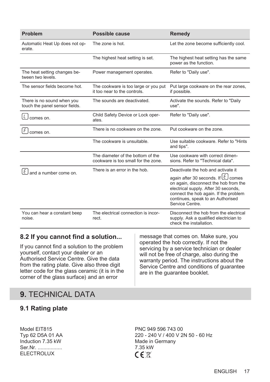<span id="page-16-0"></span>

| <b>Problem</b>                                               | Possible cause                                                           | <b>Remedy</b>                                                                                                                                                                                                        |
|--------------------------------------------------------------|--------------------------------------------------------------------------|----------------------------------------------------------------------------------------------------------------------------------------------------------------------------------------------------------------------|
| Automatic Heat Up does not op-<br>erate.                     | The zone is hot.                                                         | Let the zone become sufficiently cool.                                                                                                                                                                               |
|                                                              | The highest heat setting is set.                                         | The highest heat setting has the same<br>power as the function.                                                                                                                                                      |
| The heat setting changes be-<br>tween two levels             | Power management operates.                                               | Refer to "Daily use".                                                                                                                                                                                                |
| The sensor fields become hot.                                | The cookware is too large or you put<br>it too near to the controls.     | Put large cookware on the rear zones,<br>if possible.                                                                                                                                                                |
| There is no sound when you<br>touch the panel sensor fields. | The sounds are deactivated.                                              | Activate the sounds. Refer to "Daily<br>use".                                                                                                                                                                        |
| L<br>comes on.                                               | Child Safety Device or Lock oper-<br>ates.                               | Refer to "Daily use".                                                                                                                                                                                                |
| comes on.                                                    | There is no cookware on the zone.                                        | Put cookware on the zone.                                                                                                                                                                                            |
|                                                              | The cookware is unsuitable.                                              | Use suitable cookware. Refer to "Hints<br>and tips".                                                                                                                                                                 |
|                                                              | The diameter of the bottom of the<br>cookware is too small for the zone. | Use cookware with correct dimen-<br>sions. Refer to "Technical data".                                                                                                                                                |
| E<br>and a number come on.                                   | There is an error in the hob.                                            | Deactivate the hob and activate it                                                                                                                                                                                   |
|                                                              |                                                                          | again after 30 seconds. If L comes<br>on again, disconnect the hob from the<br>electrical supply. After 30 seconds,<br>connect the hob again. If the problem<br>continues, speak to an Authorised<br>Service Centre. |
| You can hear a constant beep<br>noise.                       | The electrical connection is incor-<br>rect.                             | Disconnect the hob from the electrical<br>supply. Ask a qualified electrician to<br>check the installation.                                                                                                          |

#### **8.2 If you cannot find a solution...**

If you cannot find a solution to the problem yourself, contact your dealer or an Authorised Service Centre. Give the data from the rating plate. Give also three digit letter code for the glass ceramic (it is in the corner of the glass surface) and an error

message that comes on. Make sure, you operated the hob correctly. If not the servicing by a service technician or dealer will not be free of charge, also during the warranty period. The instructions about the Service Centre and conditions of guarantee are in the guarantee booklet.

# **9.** TECHNICAL DATA

#### **9.1 Rating plate**

Model EIT815 **PNC 949 596 743 00** Induction 7.35 kW Made in Germany Ser.Nr. ................ ELECTROLUX

Typ 62 D5A 01 AA 220 - 240 V / 400 V 2N 50 - 60 Hz  $C \in \mathbb{R}^n$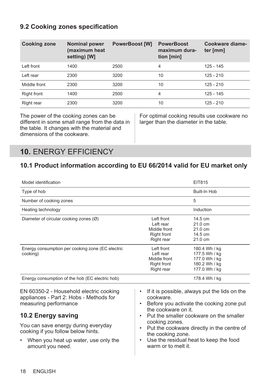### <span id="page-17-0"></span>**9.2 Cooking zones specification**

| <b>Cooking zone</b> | <b>Nominal power</b><br>(maximum heat<br>setting) [W] | <b>PowerBoost [W]</b> | <b>PowerBoost</b><br>maximum dura-<br>tion [min] | Cookware diame-<br>ter [mm] |
|---------------------|-------------------------------------------------------|-----------------------|--------------------------------------------------|-----------------------------|
| Left front          | 1400                                                  | 2500                  | 4                                                | $125 - 145$                 |
| Left rear           | 2300                                                  | 3200                  | 10                                               | $125 - 210$                 |
| Middle front        | 2300                                                  | 3200                  | 10                                               | $125 - 210$                 |
| Right front         | 1400                                                  | 2500                  | 4                                                | $125 - 145$                 |
| Right rear          | 2300                                                  | 3200                  | 10                                               | $125 - 210$                 |

The power of the cooking zones can be different in some small range from the data in the table. It changes with the material and dimensions of the cookware.

For optimal cooking results use cookware no larger than the diameter in the table.

# **10.** ENERGY EFFICIENCY

### **10.1 Product information according to EU 66/2014 valid for EU market only**

| Model identification                                                                                                                                                                                                                                                            | EIT815                                                                                                                                                                                                                                                                                                                                                                                          |  |
|---------------------------------------------------------------------------------------------------------------------------------------------------------------------------------------------------------------------------------------------------------------------------------|-------------------------------------------------------------------------------------------------------------------------------------------------------------------------------------------------------------------------------------------------------------------------------------------------------------------------------------------------------------------------------------------------|--|
| Type of hob                                                                                                                                                                                                                                                                     | Built-In Hob                                                                                                                                                                                                                                                                                                                                                                                    |  |
| Number of cooking zones                                                                                                                                                                                                                                                         | 5                                                                                                                                                                                                                                                                                                                                                                                               |  |
| Heating technology                                                                                                                                                                                                                                                              | Induction                                                                                                                                                                                                                                                                                                                                                                                       |  |
| Diameter of circular cooking zones (Ø)                                                                                                                                                                                                                                          | Left front<br>14.5 cm<br>Left rear<br>$21.0 \text{ cm}$<br>Middle front<br>$21.0 \text{ cm}$<br><b>Right front</b><br>14.5 cm<br>21.0 cm<br>Right rear                                                                                                                                                                                                                                          |  |
| Energy consumption per cooking zone (EC electric<br>cooking)                                                                                                                                                                                                                    | Left front<br>180.4 Wh / kg<br>Left rear<br>177.5 Wh / ka<br>Middle front<br>177.0 Wh / kg<br><b>Right front</b><br>180.2 Wh / kg<br>Right rear<br>177.0 Wh / kg                                                                                                                                                                                                                                |  |
| Energy consumption of the hob (EC electric hob)                                                                                                                                                                                                                                 | 178.4 Wh / kg                                                                                                                                                                                                                                                                                                                                                                                   |  |
| EN 60350-2 - Household electric cooking<br>appliances - Part 2: Hobs - Methods for<br>measuring performance<br>10.2 Energy saving<br>You can save energy during everyday<br>cooking if you follow below hints.<br>When you heat up water, use only the<br>٠<br>amount you need. | If it is possible, always put the lids on the<br>$\bullet$<br>cookware.<br>Before you activate the cooking zone put<br>$\bullet$<br>the cookware on it.<br>Put the smaller cookware on the smaller<br>$\bullet$<br>cooking zones.<br>Put the cookware directly in the centre of<br>$\bullet$<br>the cooking zone.<br>Use the residual heat to keep the food<br>$\bullet$<br>warm or to melt it. |  |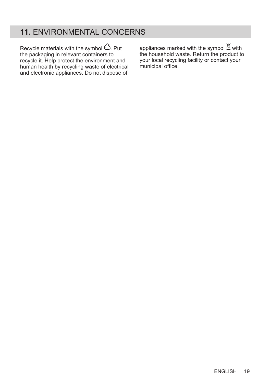# **11.** ENVIRONMENTAL CONCERNS

Recycle materials with the symbol  $\hat{\omega}$ . Put the packaging in relevant containers to recycle it. Help protect the environment and human health by recycling waste of electrical and electronic appliances. Do not dispose of

appliances marked with the symbol  $\triangle$  with the household waste. Return the product to your local recycling facility or contact your municipal office.